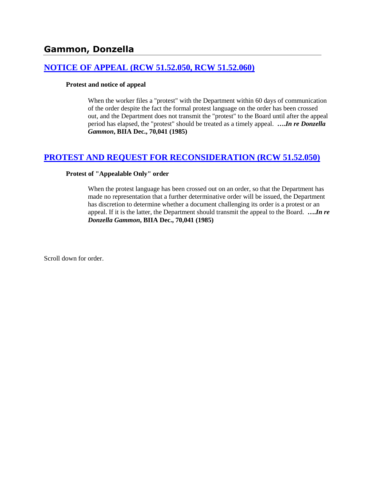## **[NOTICE OF APPEAL \(RCW 51.52.050, RCW 51.52.060\)](http://www.biia.wa.gov/SDSubjectIndex.html#NOTICE_OF_APPEAL)**

#### **Protest and notice of appeal**

When the worker files a "protest" with the Department within 60 days of communication of the order despite the fact the formal protest language on the order has been crossed out, and the Department does not transmit the "protest" to the Board until after the appeal period has elapsed, the "protest" should be treated as a timely appeal. **….***In re Donzella Gammon***, BIIA Dec., 70,041 (1985)** 

# **[PROTEST AND REQUEST FOR RECONSIDERATION \(RCW 51.52.050\)](http://www.biia.wa.gov/SDSubjectIndex.html#PROTEST_AND_REQUEST_FOR_RECONSIDERATION)**

#### **Protest of "Appealable Only" order**

When the protest language has been crossed out on an order, so that the Department has made no representation that a further determinative order will be issued, the Department has discretion to determine whether a document challenging its order is a protest or an appeal. If it is the latter, the Department should transmit the appeal to the Board. **….***In re Donzella Gammon***, BIIA Dec., 70,041 (1985)**

Scroll down for order.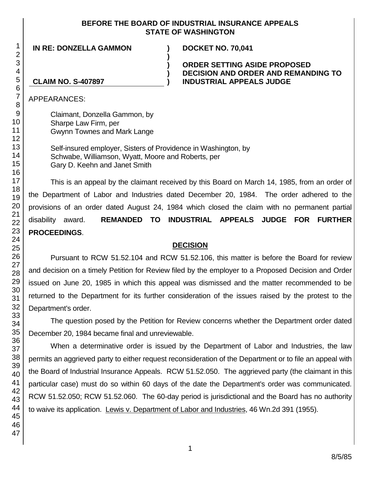## **BEFORE THE BOARD OF INDUSTRIAL INSURANCE APPEALS STATE OF WASHINGTON**

**) ) )**

**IN RE: DONZELLA GAMMON ) DOCKET NO. 70,041**

## **ORDER SETTING ASIDE PROPOSED DECISION AND ORDER AND REMANDING TO CLAIM NO. S-407897 ) INDUSTRIAL APPEALS JUDGE**

APPEARANCES:

Claimant, Donzella Gammon, by Sharpe Law Firm, per Gwynn Townes and Mark Lange

Self-insured employer, Sisters of Providence in Washington, by Schwabe, Williamson, Wyatt, Moore and Roberts, per Gary D. Keehn and Janet Smith

This is an appeal by the claimant received by this Board on March 14, 1985, from an order of the Department of Labor and Industries dated December 20, 1984. The order adhered to the provisions of an order dated August 24, 1984 which closed the claim with no permanent partial disability award. **REMANDED TO INDUSTRIAL APPEALS JUDGE FOR FURTHER PROCEEDINGS**.

# **DECISION**

Pursuant to RCW 51.52.104 and RCW 51.52.106, this matter is before the Board for review and decision on a timely Petition for Review filed by the employer to a Proposed Decision and Order issued on June 20, 1985 in which this appeal was dismissed and the matter recommended to be returned to the Department for its further consideration of the issues raised by the protest to the Department's order.

The question posed by the Petition for Review concerns whether the Department order dated December 20, 1984 became final and unreviewable.

When a determinative order is issued by the Department of Labor and Industries, the law permits an aggrieved party to either request reconsideration of the Department or to file an appeal with the Board of Industrial Insurance Appeals. RCW 51.52.050. The aggrieved party (the claimant in this particular case) must do so within 60 days of the date the Department's order was communicated. RCW 51.52.050; RCW 51.52.060. The 60-day period is jurisdictional and the Board has no authority to waive its application. Lewis v. Department of Labor and Industries, 46 Wn.2d 391 (1955).

1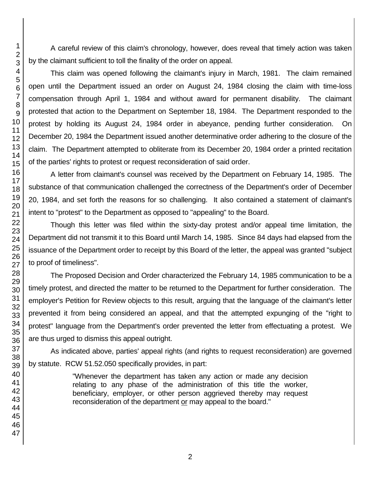A careful review of this claim's chronology, however, does reveal that timely action was taken by the claimant sufficient to toll the finality of the order on appeal.

This claim was opened following the claimant's injury in March, 1981. The claim remained open until the Department issued an order on August 24, 1984 closing the claim with time-loss compensation through April 1, 1984 and without award for permanent disability. The claimant protested that action to the Department on September 18, 1984. The Department responded to the protest by holding its August 24, 1984 order in abeyance, pending further consideration. On December 20, 1984 the Department issued another determinative order adhering to the closure of the claim. The Department attempted to obliterate from its December 20, 1984 order a printed recitation of the parties' rights to protest or request reconsideration of said order.

A letter from claimant's counsel was received by the Department on February 14, 1985. The substance of that communication challenged the correctness of the Department's order of December 20, 1984, and set forth the reasons for so challenging. It also contained a statement of claimant's intent to "protest" to the Department as opposed to "appealing" to the Board.

Though this letter was filed within the sixty-day protest and/or appeal time limitation, the Department did not transmit it to this Board until March 14, 1985. Since 84 days had elapsed from the issuance of the Department order to receipt by this Board of the letter, the appeal was granted "subject to proof of timeliness".

The Proposed Decision and Order characterized the February 14, 1985 communication to be a timely protest, and directed the matter to be returned to the Department for further consideration. The employer's Petition for Review objects to this result, arguing that the language of the claimant's letter prevented it from being considered an appeal, and that the attempted expunging of the "right to protest" language from the Department's order prevented the letter from effectuating a protest. We are thus urged to dismiss this appeal outright.

As indicated above, parties' appeal rights (and rights to request reconsideration) are governed by statute. RCW 51.52.050 specifically provides, in part:

> "Whenever the department has taken any action or made any decision relating to any phase of the administration of this title the worker, beneficiary, employer, or other person aggrieved thereby may request reconsideration of the department or may appeal to the board."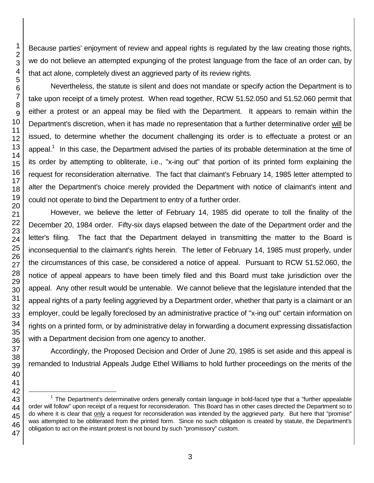Because parties' enjoyment of review and appeal rights is regulated by the law creating those rights, we do not believe an attempted expunging of the protest language from the face of an order can, by that act alone, completely divest an aggrieved party of its review rights.

Nevertheless, the statute is silent and does not mandate or specify action the Department is to take upon receipt of a timely protest. When read together, RCW 51.52.050 and 51.52.060 permit that either a protest or an appeal may be filed with the Department. It appears to remain within the Department's discretion, when it has made no representation that a further determinative order will be issued, to determine whether the document challenging its order is to effectuate a protest or an appeal.<sup>1</sup> In this case, the Department advised the parties of its probable determination at the time of its order by attempting to obliterate, i.e., "x-ing out" that portion of its printed form explaining the request for reconsideration alternative. The fact that claimant's February 14, 1985 letter attempted to alter the Department's choice merely provided the Department with notice of claimant's intent and could not operate to bind the Department to entry of a further order.

However, we believe the letter of February 14, 1985 did operate to toll the finality of the December 20, 1984 order. Fifty-six days elapsed between the date of the Department order and the letter's filing. The fact that the Department delayed in transmitting the matter to the Board is inconsequential to the claimant's rights herein. The letter of February 14, 1985 must properly, under the circumstances of this case, be considered a notice of appeal. Pursuant to RCW 51.52.060, the notice of appeal appears to have been timely filed and this Board must take jurisdiction over the appeal. Any other result would be untenable. We cannot believe that the legislature intended that the appeal rights of a party feeling aggrieved by a Department order, whether that party is a claimant or an employer, could be legally foreclosed by an administrative practice of "x-ing out" certain information on rights on a printed form, or by administrative delay in forwarding a document expressing dissatisfaction with a Department decision from one agency to another.

Accordingly, the Proposed Decision and Order of June 20, 1985 is set aside and this appeal is remanded to Industrial Appeals Judge Ethel Williams to hold further proceedings on the merits of the

l

 The Department's determinative orders generally contain language in bold-faced type that a "further appealable order will follow" upon receipt of a request for reconsideration. This Board has in other cases directed the Department so to do where it is clear that only a request for reconsideration was intended by the aggrieved party. But here that "promise" was attempted to be obliterated from the printed form. Since no such obligation is created by statute, the Department's obligation to act on the instant protest is not bound by such "promissory" custom.